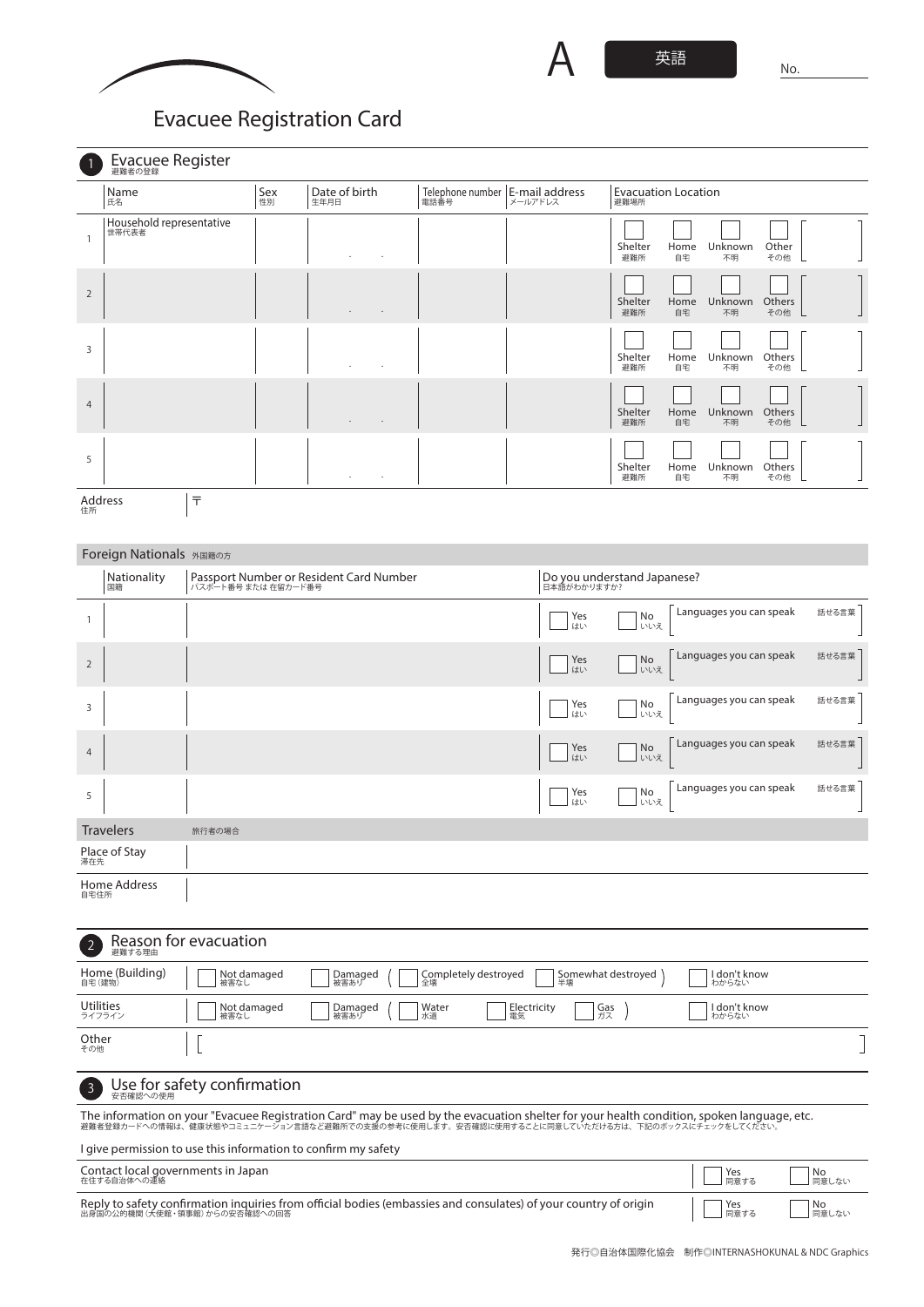

## **Evacuee Registration Card**

|                | Evacuee Register                  |           |                       |                                           |                                                                |
|----------------|-----------------------------------|-----------|-----------------------|-------------------------------------------|----------------------------------------------------------------|
|                | Name<br>氏名                        | Sex<br>性別 | Date of birth<br>生年月日 | Telephone number   E-mail address<br>電話番号 | <b>Evacuation Location</b><br>避難場所                             |
| 1              | Household representative<br>世帯代表者 |           | $\blacksquare$<br>٠   |                                           | Other<br>Shelter<br>Unknown<br>Home<br>避難所<br>自宅<br>その他<br>不明  |
| $\overline{2}$ |                                   |           |                       |                                           | Shelter<br>Unknown<br>Others<br>Home<br>避難所<br>自宅<br>その他<br>不明 |
| 3              |                                   |           | ٠<br>$\cdot$          |                                           | Shelter<br>Unknown<br>Others<br>Home<br>避難所<br>自宅<br>不明<br>その他 |
| $\overline{4}$ |                                   |           | $\sim$<br>$\cdot$     |                                           | Unknown<br>Others<br>Shelter<br>Home<br>その他<br>避難所<br>自宅<br>不明 |
| 5              |                                   |           | $\sim$<br>$\sim$      |                                           | Unknown<br>Others<br>Shelter<br>Home<br>避難所<br>自宅<br>不明<br>その他 |
| 住所             | 亍<br>Address                      |           |                       |                                           |                                                                |

## Foreign Nationals 外国籍の方

|                  | $\tilde{\phantom{a}}$ |                                                                |           |                                               |  |
|------------------|-----------------------|----------------------------------------------------------------|-----------|-----------------------------------------------|--|
|                  | Aationality<br>国籍     | Passport Number or Resident Card Number<br>パスポート番号 または 在留カード番号 |           | Do you understand Japanese?<br>日本語がわかりますか?    |  |
|                  |                       |                                                                | Yes<br>はい | Languages you can speak<br>話せる言葉<br>No<br>いいえ |  |
| 2                |                       |                                                                | Yes<br>はい | Languages you can speak<br>話せる言葉<br>No<br>いいえ |  |
| 3                |                       |                                                                | Yes<br>はい | Languages you can speak<br>話せる言葉<br>No<br>いいえ |  |
| $\overline{4}$   |                       |                                                                | Yes<br>はい | Languages you can speak<br>話せる言葉<br>No<br>いいえ |  |
| 5                |                       |                                                                | Yes<br>はい | Languages you can speak<br>話せる言葉<br>No<br>いいえ |  |
| <b>Travelers</b> |                       | 旅行者の場合                                                         |           |                                               |  |
| 滞在先              | Place of Stay         |                                                                |           |                                               |  |
| 自宅住所             | Home Address          |                                                                |           |                                               |  |

## Reason for evacuation 避難する理由 2 Home (Building) 自宅(建物) Not damaged 被害なし Damaged 被害あり Completely destroyed 全壊 Somewhat destroyed 半壊 I don't know わからない Utilities ライフライン Not damaged 被害なし Damaged 被害あり  $\left($ Water 水道 Electricity 電気 Gas ガス I don't know わからない  $\vert$  [ Other その他 1 Use for safety confirmation 3

The information on your "Evacuee Registration Card" may be used by the evacuation shelter for your health condition, spoken language, etc.<br>避難者登録カードへの情報は、健康状態やコミュニケーション言語など避難所での支援の参考に使用します。安否確認に使用することに同意していただける方は、下記のボックスに

I give permission to use this information to confirm my safety

Contact local governments in Japan 在住する自治体への連絡

Reply to safety confirmation inquiries from official bodies (embassies and consulates) of your country of origin<br>出身国の公的機関 (大使館・領事館) からの安否確認への回答

Yes 同意する No 同意しない

No 同意しない

Yes 同意する